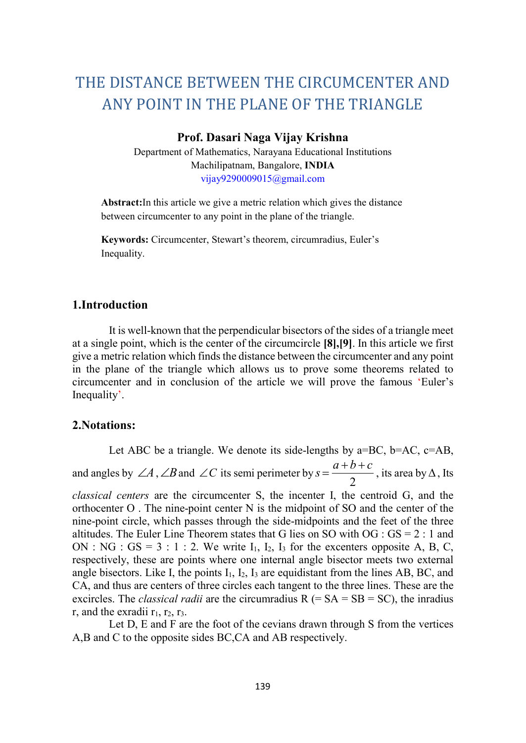# THE DISTANCE BETWEEN THE CIRCUMCENTER AND ANY POINT IN THE PLANE OF THE TRIANGLE

#### Prof. Dasari Naga Vijay Krishna

Department of Mathematics, Narayana Educational Institutions Machilipatnam, Bangalore, INDIA vijay9290009015@gmail.com

Abstract:In this article we give a metric relation which gives the distance between circumcenter to any point in the plane of the triangle.

Keywords: Circumcenter, Stewart's theorem, circumradius, Euler's Inequality.

## 1.Introduction

It is well-known that the perpendicular bisectors of the sides of a triangle meet at a single point, which is the center of the circumcircle [8],[9]. In this article we first give a metric relation which finds the distance between the circumcenter and any point in the plane of the triangle which allows us to prove some theorems related to circumcenter and in conclusion of the article we will prove the famous 'Euler's Inequality'.

## 2.Notations:

Let ABC be a triangle. We denote its side-lengths by  $a=BC$ ,  $b=AC$ ,  $c=AB$ , and angles by  $\angle A$ ,  $\angle B$  and  $\angle C$  its semi perimeter by 2  $s = \frac{a+b+c}{2}$ , its area by  $\Delta$ , Its classical centers are the circumcenter S, the incenter I, the centroid G, and the orthocenter  $O$ . The nine-point center  $N$  is the midpoint of SO and the center of the nine-point circle, which passes through the side-midpoints and the feet of the three altitudes. The Euler Line Theorem states that G lies on SO with  $OG : GS = 2 : 1$  and ON : NG :  $GS = 3 : 1 : 2$ . We write  $I_1$ ,  $I_2$ ,  $I_3$  for the excenters opposite A, B, C, respectively, these are points where one internal angle bisector meets two external angle bisectors. Like I, the points  $I_1$ ,  $I_2$ ,  $I_3$  are equidistant from the lines AB, BC, and CA, and thus are centers of three circles each tangent to the three lines. These are the excircles. The *classical radii* are the circumradius  $R (= SA = SB = SC)$ , the inradius r, and the exradii  $r_1$ ,  $r_2$ ,  $r_3$ .

Let D, E and F are the foot of the cevians drawn through S from the vertices A,B and C to the opposite sides BC,CA and AB respectively.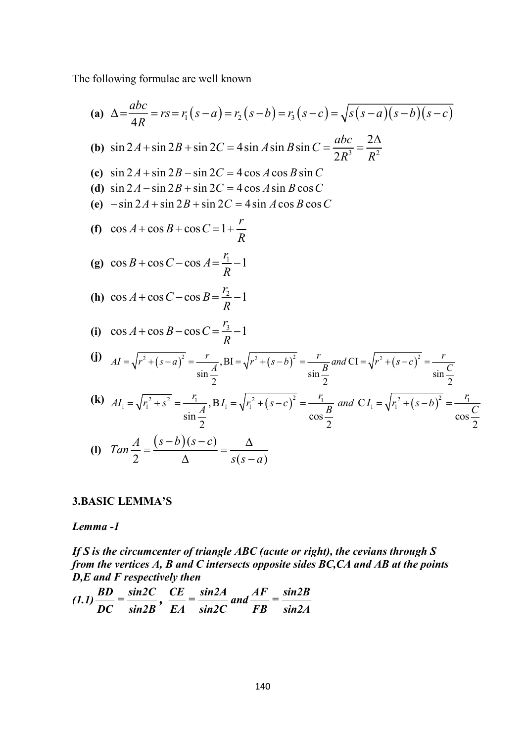The following formulae are well known

following formulae are well known  
\n(a) 
$$
\Delta = \frac{abc}{4R} = rs = r_1 (s-a) = r_2 (s-b) = r_3 (s-c) = \sqrt{s(s-a)(s-b)(s-c)}
$$
  
\n(b)  $\sin 2A + \sin 2B + \sin 2C = 4 \sin A \sin B \sin C = \frac{abc}{2R^3} = \frac{2\Delta}{R^2}$   
\n(c)  $\sin 2A + \sin 2B - \sin 2C = 4 \cos A \cos B \sin C$   
\n(d)  $\sin 2A - \sin 2B + \sin 2C = 4 \cos A \sin B \cos C$   
\n(e)  $-\sin 2A + \sin 2B + \sin 2C = 4 \cos A \sin B \cos C$   
\n(f)  $\cos A + \cos B + \cos C = 1 + \frac{r}{R}$   
\n(g)  $\cos B + \cos C - \cos A = \frac{r_1}{R} - 1$   
\n(h)  $\cos A + \cos C - \cos B = \frac{r_2}{R} - 1$   
\n(i)  $\cos A + \cos B - \cos C = \frac{r_3}{R} - 1$   
\n(j)  $AI = \sqrt{r^2 + (s-a)^2} = \frac{r}{\sin \frac{A}{2}}$ ,  $BI = \sqrt{r^2 + (s-b)^2} = \frac{r}{\sin \frac{B}{2}}$  and  $CI = \sqrt{r^2 + (s-c)^2} = \frac{r}{\sin \frac{C}{2}}$   
\n(k)  $AI_1 = \sqrt{r_1^2 + s^2} = \frac{r_1}{\sin \frac{A}{2}}$ ,  $BI_1 = \sqrt{r_1^2 + (s-c)^2} = \frac{r}{\cos \frac{B}{2}}$  and  $CI_1 = \sqrt{r_1^2 + (s-b)^2} = \frac{r_1}{\cos \frac{C}{2}}$   
\n(l)  $Tan \frac{A}{2} = \frac{(s-b)(s-c)}{\Delta} = \frac{\Delta}{s(s-a)}$ 

## 3.BASIC LEMMA'S

#### Lemma -1

If S is the circumcenter of triangle ABC (acute or right), the cevians through  $S$ from the vertices A, B and C intersects opposite sides BC,CA and AB at the points  $D, E$  and  $F$  respectively then

$$
(1.1)\frac{BD}{DC} = \frac{\sin 2C}{\sin 2B}, \ \frac{CE}{EA} = \frac{\sin 2A}{\sin 2C} \ and \ \frac{AF}{FB} = \frac{\sin 2B}{\sin 2A}
$$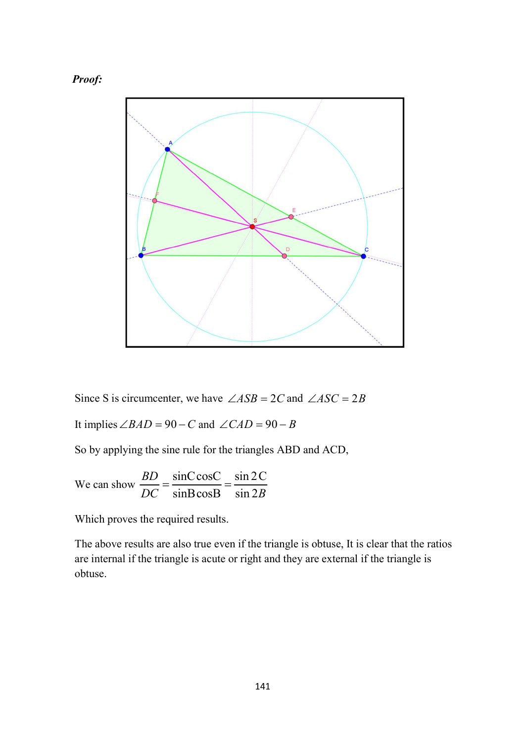



Since S is circumcenter, we have  $\angle ASB = 2C$  and  $\angle ASC = 2B$ 

It implies  $\angle BAD = 90 - C$  and  $\angle CAD = 90 - B$ 

So by applying the sine rule for the triangles ABD and ACD,

We can show 
$$
\frac{BD}{DC} = \frac{\sin C \cos C}{\sin B \cos B} = \frac{\sin 2C}{\sin 2B}
$$

Which proves the required results.

The above results are also true even if the triangle is obtuse, It is clear that the ratios are internal if the triangle is acute or right and they are external if the triangle is obtuse.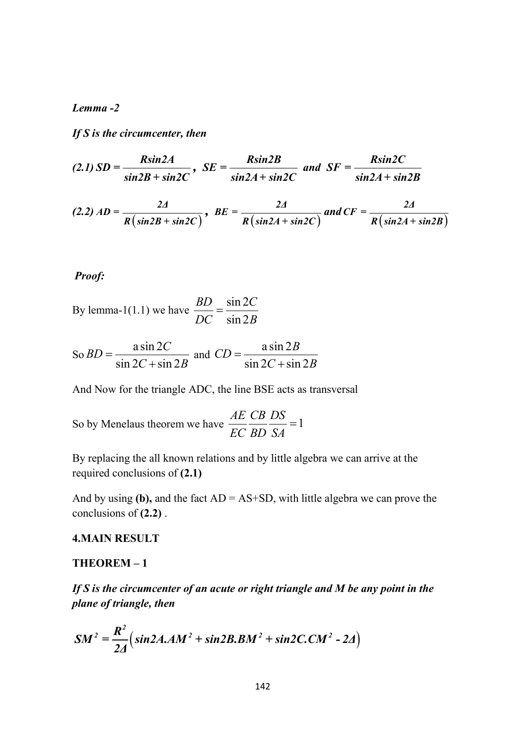#### Lemma -2

If S is the circumcenter, then

$$
(2.1) SD = \frac{R\sin 2A}{\sin 2B + \sin 2C}, \ SE = \frac{R\sin 2B}{\sin 2A + \sin 2C} \ and \ SF = \frac{R\sin 2C}{\sin 2A + \sin 2B}
$$

Lemma -2  
\nIf S is the circumference, then  
\n
$$
(2.1) SD = \frac{R\sin 2A}{\sin 2B + \sin 2C}, \ SE = \frac{R\sin 2B}{\sin 2A + \sin 2C} \text{ and } SF = \frac{R\sin 2C}{\sin 2A + \sin 2B}
$$
\n
$$
(2.2) AD = \frac{2A}{R(\sin 2B + \sin 2C)}, \ BE = \frac{2A}{R(\sin 2A + \sin 2C)} \text{ and } CF = \frac{2A}{R(\sin 2A + \sin 2B)}
$$
\nProof:

#### Proof:

By lemma-1(1.1) we have 
$$
\frac{BD}{DC} = \frac{\sin 2C}{\sin 2B}
$$

So 
$$
BD = \frac{a \sin 2C}{\sin 2C + \sin 2B}
$$
 and  $CD = \frac{a \sin 2B}{\sin 2C + \sin 2B}$ 

And Now for the triangle ADC, the line BSE acts as transversal

So by Menelaus theorem we have 
$$
\frac{AE}{EC} \frac{CB}{BD} \frac{DS}{SA} = 1
$$

By replacing the all known relations and by little algebra we can arrive at the required conclusions of (2.1)

And by using (b), and the fact  $AD = AS + SD$ , with little algebra we can prove the conclusions of (2.2) .

#### 4.MAIN RESULT

#### THEOREM – 1

If S is the circumcenter of an acute or right triangle and M be any point in the plane of triangle, then r the triangle ADC, the line BSE acts as transversal<br>
aus theorem we have  $\frac{AE}{EC} \frac{CB}{BD} \frac{DS}{SA} = 1$ <br>
the all known relations and by little algebra we can arrive at the<br>
elusions of (2.1)<br>
(b), and the fact AD – AS+SD, wi

$$
SM^{2} = \frac{R^{2}}{2\Delta} \left( \sin 2A \cdot AM^{2} + \sin 2B \cdot BM^{2} + \sin 2C \cdot CM^{2} - 2\Delta \right)
$$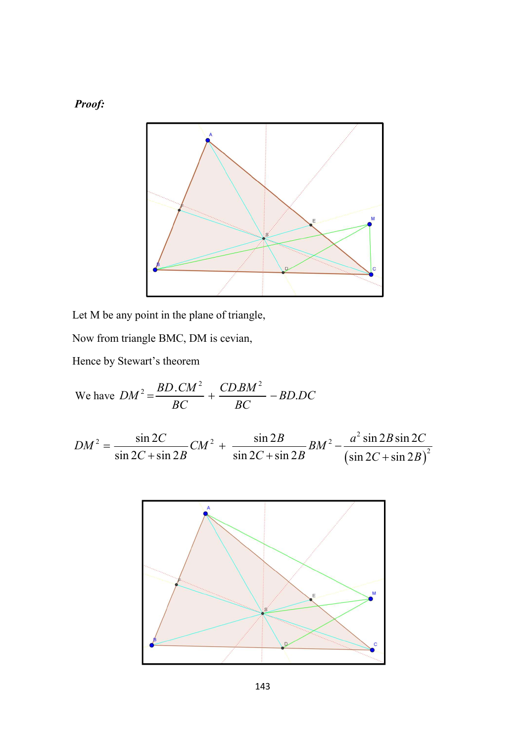Proof:



Let M be any point in the plane of triangle,

Now from triangle BMC, DM is cevian,

Hence by Stewart's theorem

We have 
$$
DM^2 = \frac{BD \cdot CM^2}{BC} + \frac{CDBM^2}{BC} - BD \cdot DC
$$

$$
DM2 = \frac{\sin 2C}{\sin 2C + \sin 2B} CM2 + \frac{\sin 2B}{\sin 2C + \sin 2B} BM2 - \frac{a2 \sin 2B \sin 2C}{\left(\sin 2C + \sin 2B\right)2}
$$

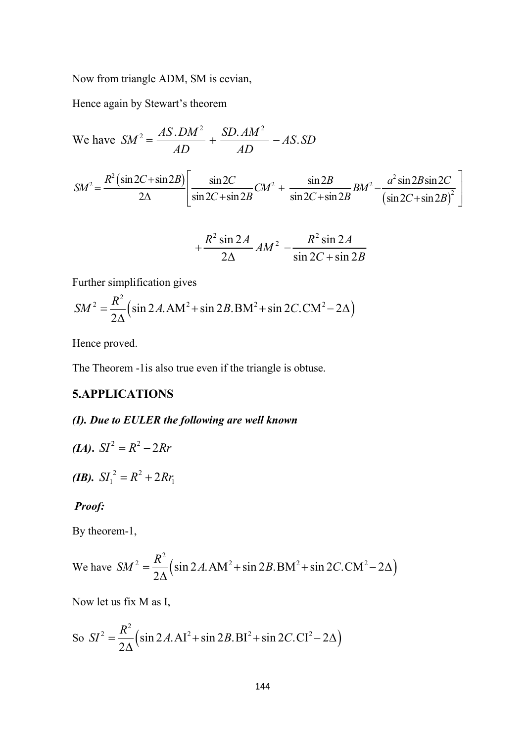Now from triangle ADM, SM is cevian,

Hence again by Stewart's theorem

We have 
$$
SM^2 = \frac{AS.DM^2}{AD} + \frac{SD.AM^2}{AD} - AS.SD
$$

$$
SM^2 = \frac{R^2\left(\sin 2C + \sin 2B\right)}{2\Delta} \left[ \frac{\sin 2C}{\sin 2C + \sin 2B} CM^2 + \frac{\sin 2B}{\sin 2C + \sin 2B} BM^2 - \frac{a^2 \sin 2B \sin 2C}{\left(\sin 2C + \sin 2B\right)^2} \right]
$$

$$
+\frac{R^2\sin 2A}{2\Delta}AM^2 -\frac{R^2\sin 2A}{\sin 2C + \sin 2B}
$$

Further simplification gives

$$
SM^{2} = \frac{R^{2}}{2\Delta} \left( \sin 2A \cdot AM^{2} + \sin 2B \cdot BM^{2} + \sin 2C \cdot CM^{2} - 2\Delta \right)
$$

Hence proved.

The Theorem -1is also true even if the triangle is obtuse.

## **5.APPLICATIONS**

## (I). Due to EULER the following are well known

(*IA*). 
$$
SI^2 = R^2 - 2Rr
$$

(*IB*).  $SI_1^2 = R^2 + 2Rr_1$ 

## Proof:

By theorem-1,

We have 
$$
SM^2 = \frac{R^2}{2\Delta} \left( \sin 2A \cdot AM^2 + \sin 2B \cdot BM^2 + \sin 2C \cdot CM^2 - 2\Delta \right)
$$

Now let us fix M as I,

So 
$$
SI^{2} = \frac{R^{2}}{2\Delta} \left( \sin 2A \cdot AI^{2} + \sin 2B \cdot BI^{2} + \sin 2C \cdot CI^{2} - 2\Delta \right)
$$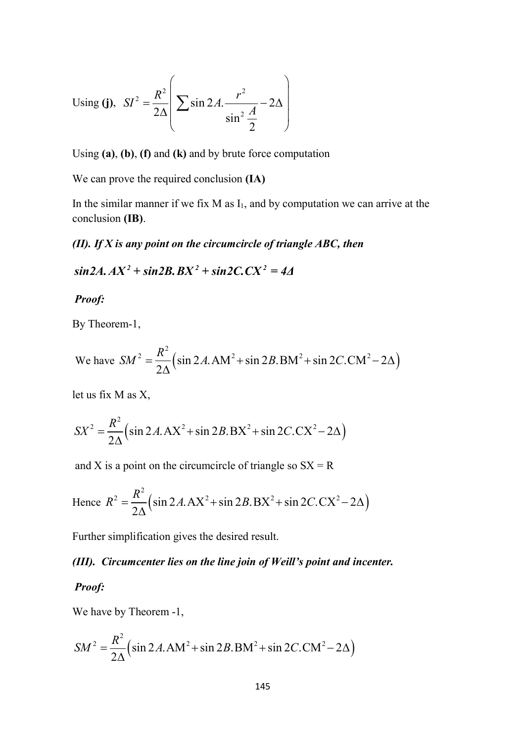Using (j), 
$$
SI^2 = \frac{R^2}{2\Delta} \left( \sum \sin 2A \cdot \frac{r^2}{\sin^2 \frac{A}{2}} - 2\Delta \right)
$$

Using  $(a)$ ,  $(b)$ ,  $(f)$  and  $(k)$  and by brute force computation

We can prove the required conclusion (IA)

In the similar manner if we fix  $M$  as  $I_1$ , and by computation we can arrive at the conclusion (IB).

## (II). If  $X$  is any point on the circumcircle of triangle ABC, then

$$
\sin 2A. AX^2 + \sin 2B. BX^2 + \sin 2C. CX^2 = 4\Delta
$$

Proof:

By Theorem-1,

Using (j), 
$$
SI^2 = \frac{R^2}{2\Delta} \Bigg[ \sum \sin 2A \cdot \frac{r^2}{\sin^2 \frac{A}{2}} - 2\Delta \Bigg]
$$
  
\nUsing (a), (b), (f) and (k) and by brute force computation  
\nWe can prove the required conclusion (IA)  
\nIn the similar manner if we fix M as I<sub>1</sub>, and by computation we can arrive at the  
\nconclusion (IB).  
\n(*II*). *If X is any point on the circumcircle of triangle ABC, then*  
\n $\sin 2A \cdot AX^2 + \sin 2B \cdot BX^2 + \sin 2C \cdot CX^2 = 4A$   
\n**Proof:**  
\nBy Theorem-1,  
\nWe have  $SM^2 = \frac{R^2}{2\Delta} (\sin 2A \cdot AM^2 + \sin 2B \cdot BM^2 + \sin 2C \cdot CM^2 - 2\Delta)$   
\nlet us fix M as X,  
\n $SX^2 = \frac{R^2}{2\Delta} (\sin 2A \cdot AX^2 + \sin 2B \cdot BX^2 + \sin 2C \cdot CX^2 - 2\Delta)$   
\nand X is a point on the circumcircle of triangle so  $SX = R$   
\nHence  $R^2 = \frac{R^2}{2\Delta} (\sin 2A \cdot AX^2 + \sin 2B \cdot BX^2 + \sin 2C \cdot CX^2 - 2\Delta)$   
\nFurther simplification gives the desired result.  
\n(*III*). Circumcenter lies on the line join of Weill's point and incenter.

let us fix M as X,

$$
SX^{2} = \frac{R^{2}}{2\Delta} \left( \sin 2A \cdot AX^{2} + \sin 2B \cdot BX^{2} + \sin 2C \cdot CX^{2} - 2\Delta \right)
$$

and X is a point on the circumcircle of triangle so  $SX = R$ 

let us fix M as X,  
\n
$$
SX^2 = \frac{R^2}{2\Delta} \left( \sin 2A. AX^2 + \sin 2B. BX^2 + \sin 2C. CX^2 - 2\Delta \right)
$$
\nand X is a point on the circumcircle of triangle so  $SX = R$   
\nHence  $R^2 = \frac{R^2}{2\Delta} \left( \sin 2A. AX^2 + \sin 2B. BX^2 + \sin 2C. CX^2 - 2\Delta \right)$   
\nFurther simplification gives the desired result.  
\n(III). Circumcenter lies on the line join of Weill's point and incenter.  
\nProof:  
\nWe have by Theorem -1,  
\n
$$
SM^2 = \frac{R^2}{2\Delta} \left( \sin 2A. AM^2 + \sin 2B. BM^2 + \sin 2C. CM^2 - 2\Delta \right)
$$
\n145

Further simplification gives the desired result.

## (III). Circumcenter lies on the line join of Weill's point and incenter.

#### Proof:

We have by Theorem -1,

$$
SM^{2} = \frac{R^{2}}{2\Delta} \left( \sin 2A \cdot AM^{2} + \sin 2B \cdot BM^{2} + \sin 2C \cdot CM^{2} - 2\Delta \right)
$$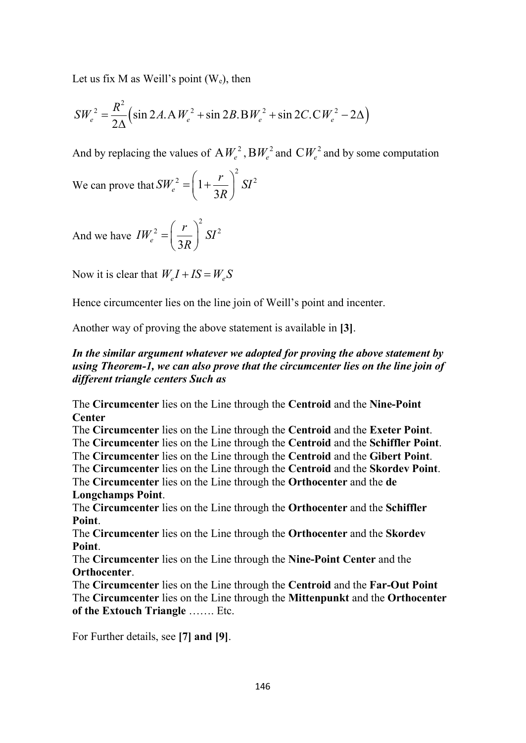Let us fix M as Weill's point  $(W_e)$ , then

Let us fix M as Weill's point (W<sub>e</sub>), then  
\n
$$
SW_e^2 = \frac{R^2}{2\Delta} \Big( \sin 2A \cdot AW_e^2 + \sin 2B \cdot BW_e^2 + \sin 2C \cdot CW_e^2 - 2\Delta \Big)
$$
\nAnd by replacing the values of  $AW_e^2$ ,  $BW_e^2$  and  $CW_e^2$  and by some computation

And by replacing the values of  $AW_e^2$ ,  $BW_e^2$  and  $CW_e^2$  and by some computation

We can prove that 
$$
SW_e^2 = \left(1 + \frac{r}{3R}\right)^2 SI^2
$$

And we have  $2\left( r\right) ^{2}$  SIZ  $e^{-}(3)$  $IW_e^2 = \left(\frac{r}{2R}\right)^2 SI^2$  $R_{\scriptscriptstyle \perp}$  $\left( r\right) ^{2}$  $=\left(\frac{7}{3R}\right)$  S

Now it is clear that  $W_a I + IS = W_a S$ 

Hence circumcenter lies on the line join of Weill's point and incenter.

Another way of proving the above statement is available in [3].

## In the similar argument whatever we adopted for proving the above statement by using Theorem-1, we can also prove that the circumcenter lies on the line join of different triangle centers Such as

The Circumcenter lies on the Line through the Centroid and the Nine-Point **Center** 

The Circumcenter lies on the Line through the Centroid and the Exeter Point. The Circumcenter lies on the Line through the Centroid and the Schiffler Point. The Circumcenter lies on the Line through the Centroid and the Gibert Point.

The Circumcenter lies on the Line through the Centroid and the Skordev Point.

The Circumcenter lies on the Line through the Orthocenter and the de Longchamps Point.

The Circumcenter lies on the Line through the Orthocenter and the Schiffler Point.

The Circumcenter lies on the Line through the Orthocenter and the Skordev Point.

The Circumcenter lies on the Line through the Nine-Point Center and the Orthocenter.

The Circumcenter lies on the Line through the Centroid and the Far-Out Point The Circumcenter lies on the Line through the Mittenpunkt and the Orthocenter of the Extouch Triangle ……. Etc.

For Further details, see [7] and [9].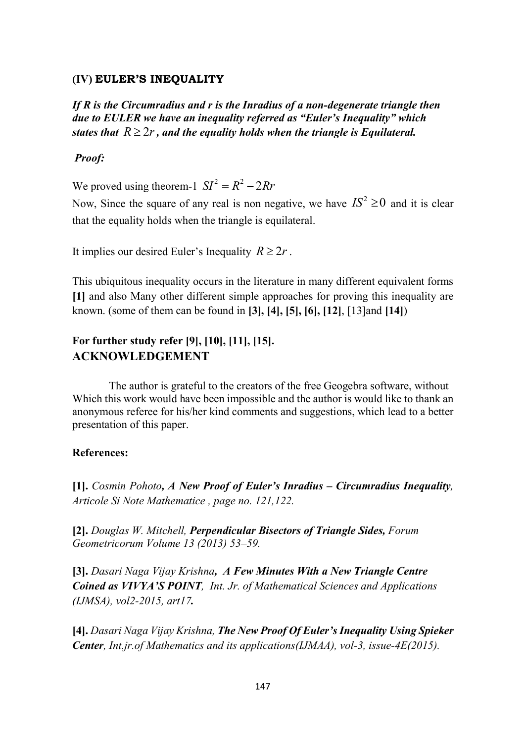## (IV) EULER'S INEQUALITY

If R is the Circumradius and r is the Inradius of a non-degenerate triangle then due to EULER we have an inequality referred as "Euler's Inequality" which states that  $R \geq 2r$ , and the equality holds when the triangle is Equilateral.

## Proof:

We proved using theorem-1  $SI^2 = R^2 - 2Rr$ 

Now, Since the square of any real is non negative, we have  $IS^2 \ge 0$  and it is clear that the equality holds when the triangle is equilateral.

It implies our desired Euler's Inequality  $R \ge 2r$ .

This ubiquitous inequality occurs in the literature in many different equivalent forms [1] and also Many other different simple approaches for proving this inequality are known. (some of them can be found in [3], [4], [5], [6], [12], [13]and [14])

## For further study refer [9], [10], [11], [15]. ACKNOWLEDGEMENT

The author is grateful to the creators of the free Geogebra software, without Which this work would have been impossible and the author is would like to thank an anonymous referee for his/her kind comments and suggestions, which lead to a better presentation of this paper.

### References:

[1]. Cosmin Pohoto, A New Proof of Euler's Inradius – Circumradius Inequality, Articole Si Note Mathematice , page no. 121,122.

[2]. Douglas W. Mitchell, Perpendicular Bisectors of Triangle Sides, Forum Geometricorum Volume 13 (2013) 53–59.

[3]. Dasari Naga Vijay Krishna, A Few Minutes With a New Triangle Centre Coined as VIVYA'S POINT, Int. Jr. of Mathematical Sciences and Applications (IJMSA), vol2-2015, art17.

[4]. Dasari Naga Vijay Krishna, The New Proof Of Euler's Inequality Using Spieker **Center, Int.jr.of Mathematics and its applications(IJMAA), vol-3, issue-4E(2015).**